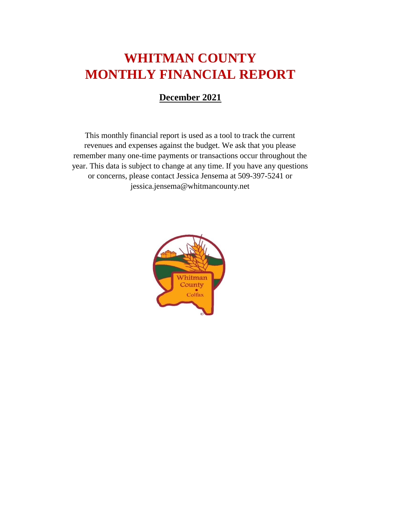# **WHITMAN COUNTY MONTHLY FINANCIAL REPORT**

#### **December 2021**

This monthly financial report is used as a tool to track the current revenues and expenses against the budget. We ask that you please remember many one-time payments or transactions occur throughout the year. This data is subject to change at any time. If you have any questions or concerns, please contact Jessica Jensema at 509-397-5241 or jessica.jensema@whitmancounty.net

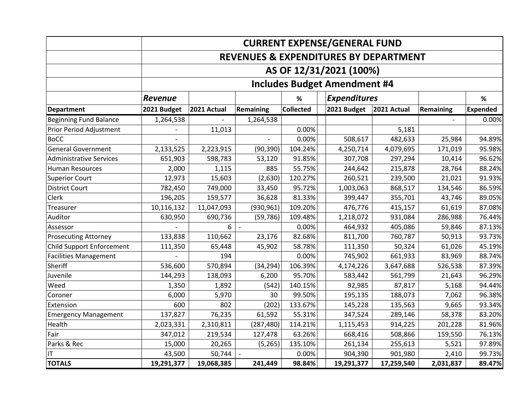|                                |                                                  | <b>CURRENT EXPENSE/GENERAL FUND</b> |                  |                  |                                     |             |           |                 |
|--------------------------------|--------------------------------------------------|-------------------------------------|------------------|------------------|-------------------------------------|-------------|-----------|-----------------|
|                                | <b>REVENUES &amp; EXPENDITURES BY DEPARTMENT</b> |                                     |                  |                  |                                     |             |           |                 |
|                                |                                                  | AS OF 12/31/2021 (100%)             |                  |                  |                                     |             |           |                 |
|                                |                                                  |                                     |                  |                  | <b>Includes Budget Amendment #4</b> |             |           |                 |
|                                | Revenue                                          |                                     |                  | $\%$             | <b>Expenditures</b>                 |             |           | %               |
| <b>Department</b>              | 2021 Budget                                      | 2021 Actual                         | <b>Remaining</b> | <b>Collected</b> | 2021 Budget                         | 2021 Actual | Remaining | <b>Expended</b> |
| <b>Beginning Fund Balance</b>  | 1,264,538                                        |                                     | 1,264,538        |                  |                                     |             |           | 0.00%           |
| Prior Period Adjustment        |                                                  | 11,013                              |                  | 0.00%            |                                     | 5,181       |           |                 |
| <b>BoCC</b>                    |                                                  |                                     |                  | 0.00%            | 508,617                             | 482,633     | 25,984    | 94.89%          |
| <b>General Government</b>      | 2,133,525                                        | 2,223,915                           | (90, 390)        | 104.24%          | 4,250,714                           | 4,079,695   | 171,019   | 95.98%          |
| <b>Administrative Services</b> | 651,903                                          | 598,783                             | 53,120           | 91.85%           | 307,708                             | 297,294     | 10,414    | 96.62%          |
| <b>Human Resources</b>         | 2,000                                            | 1,115                               | 885              | 55.75%           | 244,642                             | 215,878     | 28,764    | 88.24%          |
| <b>Superior Court</b>          | 12,973                                           | 15,603                              | (2,630)          | 120.27%          | 260,521                             | 239,500     | 21,021    | 91.93%          |
| <b>District Court</b>          | 782,450                                          | 749,000                             | 33,450           | 95.72%           | 1,003,063                           | 868,517     | 134,546   | 86.59%          |
| Clerk                          | 196,205                                          | 159,577                             | 36,628           | 81.33%           | 399,447                             | 355,701     | 43,746    | 89.05%          |
| Treasurer                      | 10,116,132                                       | 11,047,093                          | (930, 961)       | 109.20%          | 476,776                             | 415,157     | 61,619    | 87.08%          |
| Auditor                        | 630,950                                          | 690,736                             | (59, 786)        | 109.48%          | 1,218,072                           | 931,084     | 286,988   | 76.44%          |
| Assessor                       |                                                  | 6                                   |                  | 0.00%            | 464,932                             | 405,086     | 59,846    | 87.13%          |
| <b>Prosecuting Attorney</b>    | 133,838                                          | 110,662                             | 23,176           | 82.68%           | 811,700                             | 760,787     | 50,913    | 93.73%          |
| Child Support Enforcement      | 111,350                                          | 65,448                              | 45,902           | 58.78%           | 111,350                             | 50,324      | 61,026    | 45.19%          |
| <b>Facilities Management</b>   |                                                  | 194                                 |                  | 0.00%            | 745,902                             | 661,933     | 83,969    | 88.74%          |
| Sheriff                        | 536,600                                          | 570,894                             | (34, 294)        | 106.39%          | 4,174,226                           | 3,647,688   | 526,538   | 87.39%          |
| Juvenile                       | 144,293                                          | 138,093                             | 6,200            | 95.70%           | 583,442                             | 561,799     | 21,643    | 96.29%          |
| Weed                           | 1,350                                            | 1,892                               | (542)            | 140.15%          | 92,985                              | 87,817      | 5,168     | 94.44%          |
| Coroner                        | 6,000                                            | 5,970                               | 30               | 99.50%           | 195,135                             | 188,073     | 7,062     | 96.38%          |
| Extension                      | 600                                              | 802                                 | (202)            | 133.67%          | 145,228                             | 135,563     | 9,665     | 93.34%          |
| <b>Emergency Management</b>    | 137,827                                          | 76,235                              | 61,592           | 55.31%           | 347,524                             | 289,146     | 58,378    | 83.20%          |
| Health                         | 2,023,331                                        | 2,310,811                           | (287, 480)       | 114.21%          | 1,115,453                           | 914,225     | 201,228   | 81.96%          |
| Fair                           | 347,012                                          | 219,534                             | 127,478          | 63.26%           | 668,416                             | 508,866     | 159,550   | 76.13%          |
| Parks & Rec                    | 15,000                                           | 20,265                              | (5,265)          | 135.10%          | 261,134                             | 255,613     | 5,521     | 97.89%          |
| IT                             | 43,500                                           | 50,744                              |                  | 0.00%            | 904,390                             | 901,980     | 2,410     | 99.73%          |
| <b>TOTALS</b>                  | 19,291,377                                       | 19,068,385                          | 241,449          | 98.84%           | 19,291,377                          | 17,259,540  | 2,031,837 | 89.47%          |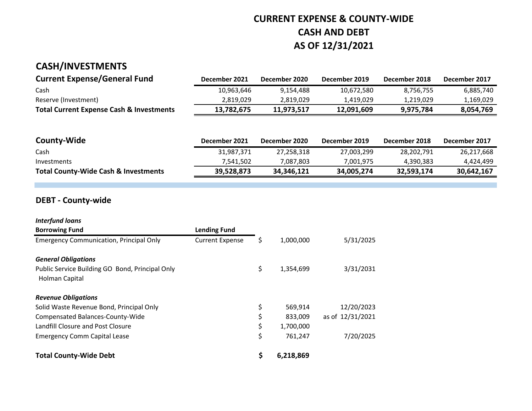## **CURRENT EXPENSE & COUNTY-WIDE CASH AND DEBT AS OF 12/31/2021**

#### **CASH/INVESTMENTS**

| <b>Current Expense/General Fund</b>                 | December 2021 | December 2020 | December 2019 | December 2018 | December 2017 |
|-----------------------------------------------------|---------------|---------------|---------------|---------------|---------------|
| Cash                                                | 10,963,646    | 9.154.488     | 10.672.580    | 8.756.755     | 6,885,740     |
| Reserve (Investment)                                | 2.819.029     | 2.819.029     | 1.419.029     | 1.219.029     | 1,169,029     |
| <b>Total Current Expense Cash &amp; Investments</b> | 13,782,675    | 11.973.517    | 12.091.609    | 9.975.784     | 8.054.769     |

| <b>County-Wide</b>                              | December 2021 | December 2020 | December 2019 | December 2018 | December 2017 |
|-------------------------------------------------|---------------|---------------|---------------|---------------|---------------|
| Cash                                            | 31,987,371    | 27.258.318    | 27,003,299    | 28,202,791    | 26,217,668    |
| Investments                                     | 7.541.502     | 7.087.803     | 7.001.975     | 4.390.383     | 4.424.499     |
| <b>Total County-Wide Cash &amp; Investments</b> | 39.528.873    | 34.346.121    | 34.005.274    | 32.593.174    | 30.642.167    |

#### **DEBT - County-wide**

| <b>Interfund loans</b>                                            |                        |    |           |                  |
|-------------------------------------------------------------------|------------------------|----|-----------|------------------|
| <b>Borrowing Fund</b>                                             | <b>Lending Fund</b>    |    |           |                  |
| <b>Emergency Communication, Principal Only</b>                    | <b>Current Expense</b> | Ş  | 1,000,000 | 5/31/2025        |
| <b>General Obligations</b>                                        |                        |    |           |                  |
| Public Service Building GO Bond, Principal Only<br>Holman Capital |                        | \$ | 1,354,699 | 3/31/2031        |
| <b>Revenue Obligations</b>                                        |                        |    |           |                  |
| Solid Waste Revenue Bond, Principal Only                          |                        | \$ | 569,914   | 12/20/2023       |
| Compensated Balances-County-Wide                                  |                        |    | 833,009   | as of 12/31/2021 |
| Landfill Closure and Post Closure                                 |                        |    | 1,700,000 |                  |
| <b>Emergency Comm Capital Lease</b>                               |                        | \$ | 761,247   | 7/20/2025        |
| <b>Total County-Wide Debt</b>                                     |                        | \$ | 6,218,869 |                  |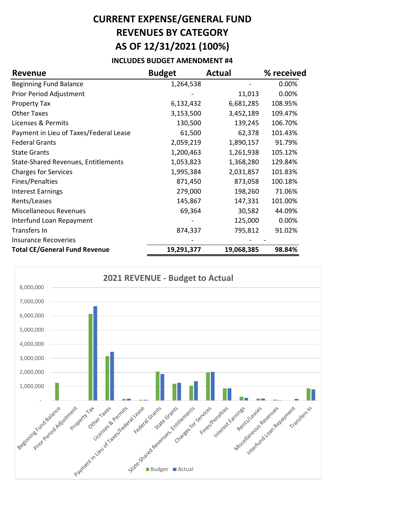# **CURRENT EXPENSE/GENERAL FUND REVENUES BY CATEGORY AS OF 12/31/2021 (100%)**

#### **INCLUDES BUDGET AMENDMENT #4**

| <b>Revenue</b>                             | <b>Budget</b> | <b>Actual</b> | % received |
|--------------------------------------------|---------------|---------------|------------|
| <b>Beginning Fund Balance</b>              | 1,264,538     |               | 0.00%      |
| Prior Period Adjustment                    |               | 11,013        | 0.00%      |
| <b>Property Tax</b>                        | 6,132,432     | 6,681,285     | 108.95%    |
| <b>Other Taxes</b>                         | 3,153,500     | 3,452,189     | 109.47%    |
| Licenses & Permits                         | 130,500       | 139,245       | 106.70%    |
| Payment in Lieu of Taxes/Federal Lease     | 61,500        | 62,378        | 101.43%    |
| <b>Federal Grants</b>                      | 2,059,219     | 1,890,157     | 91.79%     |
| <b>State Grants</b>                        | 1,200,463     | 1,261,938     | 105.12%    |
| <b>State-Shared Revenues, Entitlements</b> | 1,053,823     | 1,368,280     | 129.84%    |
| <b>Charges for Services</b>                | 1,995,384     | 2,031,857     | 101.83%    |
| Fines/Penalties                            | 871,450       | 873,058       | 100.18%    |
| <b>Interest Earnings</b>                   | 279,000       | 198,260       | 71.06%     |
| Rents/Leases                               | 145,867       | 147,331       | 101.00%    |
| <b>Miscellaneous Revenues</b>              | 69,364        | 30,582        | 44.09%     |
| Interfund Loan Repayment                   |               | 125,000       | 0.00%      |
| Transfers In                               | 874,337       | 795,812       | 91.02%     |
| Insurance Recoveries                       |               |               |            |
| <b>Total CE/General Fund Revenue</b>       | 19,291,377    | 19,068,385    | 98.84%     |

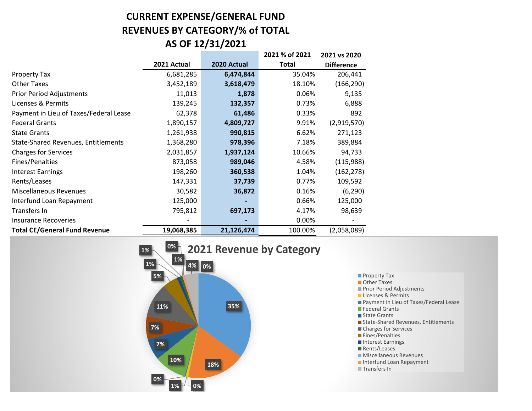## **CURRENT EXPENSE/GENERAL FUND REVENUES BY CATEGORY/% of TOTAL AS OF 12/31/2021**

|                                            |             |             | 2021 % of 2021 | 2021 vs 2020      |
|--------------------------------------------|-------------|-------------|----------------|-------------------|
|                                            | 2021 Actual | 2020 Actual | <b>Total</b>   | <b>Difference</b> |
| Property Tax                               | 6,681,285   | 6,474,844   | 35.04%         | 206,441           |
| <b>Other Taxes</b>                         | 3,452,189   | 3,618,479   | 18.10%         | (166, 290)        |
| <b>Prior Period Adjustments</b>            | 11,013      | 1,878       | 0.06%          | 9,135             |
| Licenses & Permits                         | 139,245     | 132,357     | 0.73%          | 6,888             |
| Payment in Lieu of Taxes/Federal Lease     | 62,378      | 61,486      | 0.33%          | 892               |
| <b>Federal Grants</b>                      | 1,890,157   | 4,809,727   | 9.91%          | (2,919,570)       |
| <b>State Grants</b>                        | 1,261,938   | 990,815     | 6.62%          | 271,123           |
| <b>State-Shared Revenues, Entitlements</b> | 1,368,280   | 978,396     | 7.18%          | 389,884           |
| <b>Charges for Services</b>                | 2,031,857   | 1,937,124   | 10.66%         | 94,733            |
| Fines/Penalties                            | 873,058     | 989,046     | 4.58%          | (115,988)         |
| <b>Interest Earnings</b>                   | 198,260     | 360,538     | 1.04%          | (162, 278)        |
| Rents/Leases                               | 147,331     | 37,739      | 0.77%          | 109,592           |
| Miscellaneous Revenues                     | 30,582      | 36,872      | 0.16%          | (6, 290)          |
| Interfund Loan Repayment                   | 125,000     |             | 0.66%          | 125,000           |
| Transfers In                               | 795,812     | 697,173     | 4.17%          | 98,639            |
| <b>Insurance Recoveries</b>                |             |             | 0.00%          |                   |
| <b>Total CE/General Fund Revenue</b>       | 19,068,385  | 21,126,474  | 100.00%        | (2,058,089)       |



**Property Tax Other Taxes Prior Period Adjustments** Licenses & Permits **Payment in Lieu of Taxes/Federal Lease Federal Grants** State Grants ■ State-Shared Revenues, Entitlements Charges for Services **Fines/Penalties** Interest Earnings Rents/Leases **Miscellaneous Revenues** Interfund Loan Repayment **Transfers In**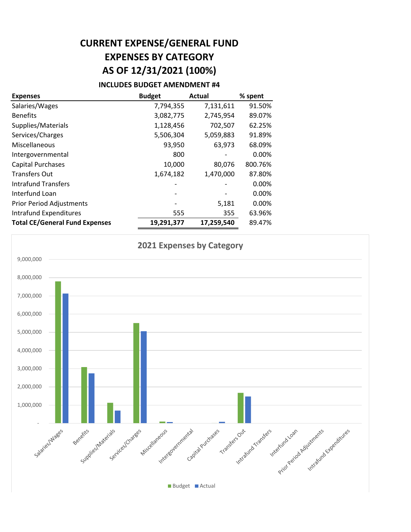# **CURRENT EXPENSE/GENERAL FUND EXPENSES BY CATEGORY AS OF 12/31/2021 (100%)**

#### **INCLUDES BUDGET AMENDMENT #4**

| <b>Expenses</b>                       | <b>Budget</b> | <b>Actual</b> | % spent |
|---------------------------------------|---------------|---------------|---------|
| Salaries/Wages                        | 7,794,355     | 7,131,611     | 91.50%  |
| <b>Benefits</b>                       | 3,082,775     | 2,745,954     | 89.07%  |
| Supplies/Materials                    | 1,128,456     | 702,507       | 62.25%  |
| Services/Charges                      | 5,506,304     | 5,059,883     | 91.89%  |
| Miscellaneous                         | 93,950        | 63,973        | 68.09%  |
| Intergovernmental                     | 800           |               | 0.00%   |
| <b>Capital Purchases</b>              | 10,000        | 80,076        | 800.76% |
| <b>Transfers Out</b>                  | 1,674,182     | 1,470,000     | 87.80%  |
| <b>Intrafund Transfers</b>            |               |               | 0.00%   |
| Interfund Loan                        |               |               | 0.00%   |
| <b>Prior Period Adjustments</b>       |               | 5,181         | 0.00%   |
| Intrafund Expenditures                | 555           | 355           | 63.96%  |
| <b>Total CE/General Fund Expenses</b> | 19,291,377    | 17,259,540    | 89.47%  |

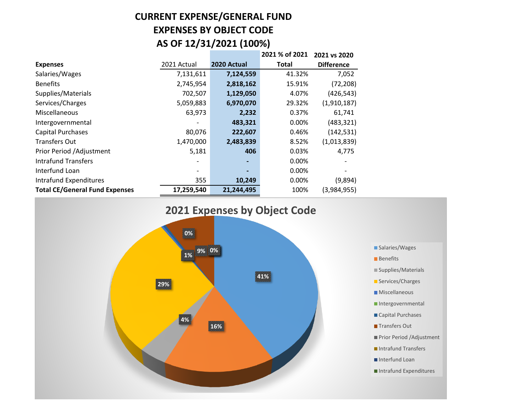### **CURRENT EXPENSE/GENERAL FUND EXPENSES BY OBJECT CODE AS OF 12/31/2021 (100%)**

|                                       |             |             | 2021 % of 2021 | 2021 vs 2020      |
|---------------------------------------|-------------|-------------|----------------|-------------------|
| <b>Expenses</b>                       | 2021 Actual | 2020 Actual | Total          | <b>Difference</b> |
| Salaries/Wages                        | 7,131,611   | 7,124,559   | 41.32%         | 7,052             |
| <b>Benefits</b>                       | 2,745,954   | 2,818,162   | 15.91%         | (72, 208)         |
| Supplies/Materials                    | 702,507     | 1,129,050   | 4.07%          | (426, 543)        |
| Services/Charges                      | 5,059,883   | 6,970,070   | 29.32%         | (1,910,187)       |
| <b>Miscellaneous</b>                  | 63,973      | 2,232       | 0.37%          | 61,741            |
| Intergovernmental                     |             | 483,321     | 0.00%          | (483, 321)        |
| Capital Purchases                     | 80,076      | 222,607     | 0.46%          | (142, 531)        |
| <b>Transfers Out</b>                  | 1,470,000   | 2,483,839   | 8.52%          | (1,013,839)       |
| Prior Period / Adjustment             | 5,181       | 406         | 0.03%          | 4,775             |
| <b>Intrafund Transfers</b>            |             |             | 0.00%          |                   |
| Interfund Loan                        |             |             | 0.00%          |                   |
| Intrafund Expenditures                | 355         | 10,249      | 0.00%          | (9,894)           |
| <b>Total CE/General Fund Expenses</b> | 17,259,540  | 21,244,495  | 100%           | (3,984,955)       |

**2021 Expenses by Object Code**



■ Salaries/Wages **Benefits** ■ Supplies/Materials Services/Charges **Miscellaneous** Intergovernmental Capital Purchases **Transfers Out Prior Period /Adjustment** Intrafund Transfers Interfund Loan Intrafund Expenditures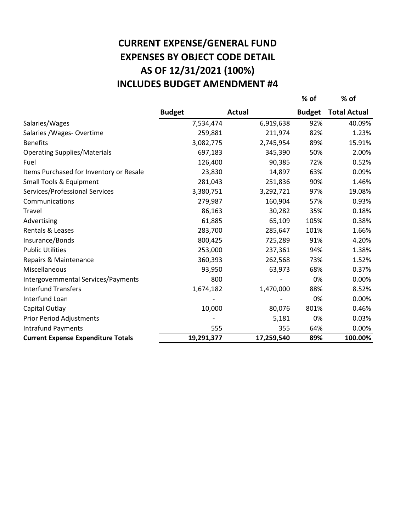# **AS OF 12/31/2021 (100%) CURRENT EXPENSE/GENERAL FUND EXPENSES BY OBJECT CODE DETAIL INCLUDES BUDGET AMENDMENT #4**

|                                           |               |               | % of          | $%$ of              |
|-------------------------------------------|---------------|---------------|---------------|---------------------|
|                                           | <b>Budget</b> | <b>Actual</b> | <b>Budget</b> | <b>Total Actual</b> |
| Salaries/Wages                            | 7,534,474     | 6,919,638     | 92%           | 40.09%              |
| Salaries / Wages- Overtime                | 259,881       | 211,974       | 82%           | 1.23%               |
| <b>Benefits</b>                           | 3,082,775     | 2,745,954     | 89%           | 15.91%              |
| <b>Operating Supplies/Materials</b>       | 697,183       | 345,390       | 50%           | 2.00%               |
| Fuel                                      | 126,400       | 90,385        | 72%           | 0.52%               |
| Items Purchased for Inventory or Resale   | 23,830        | 14,897        | 63%           | 0.09%               |
| Small Tools & Equipment                   | 281,043       | 251,836       | 90%           | 1.46%               |
| Services/Professional Services            | 3,380,751     | 3,292,721     | 97%           | 19.08%              |
| Communications                            | 279,987       | 160,904       | 57%           | 0.93%               |
| Travel                                    | 86,163        | 30,282        | 35%           | 0.18%               |
| Advertising                               | 61,885        | 65,109        | 105%          | 0.38%               |
| Rentals & Leases                          | 283,700       | 285,647       | 101%          | 1.66%               |
| Insurance/Bonds                           | 800,425       | 725,289       | 91%           | 4.20%               |
| <b>Public Utilities</b>                   | 253,000       | 237,361       | 94%           | 1.38%               |
| Repairs & Maintenance                     | 360,393       | 262,568       | 73%           | 1.52%               |
| Miscellaneous                             | 93,950        | 63,973        | 68%           | 0.37%               |
| Intergovernmental Services/Payments       | 800           |               | 0%            | 0.00%               |
| <b>Interfund Transfers</b>                | 1,674,182     | 1,470,000     | 88%           | 8.52%               |
| Interfund Loan                            |               |               | 0%            | 0.00%               |
| Capital Outlay                            | 10,000        | 80,076        | 801%          | 0.46%               |
| Prior Period Adjustments                  |               | 5,181         | 0%            | 0.03%               |
| <b>Intrafund Payments</b>                 | 555           | 355           | 64%           | 0.00%               |
| <b>Current Expense Expenditure Totals</b> | 19,291,377    | 17,259,540    | 89%           | 100.00%             |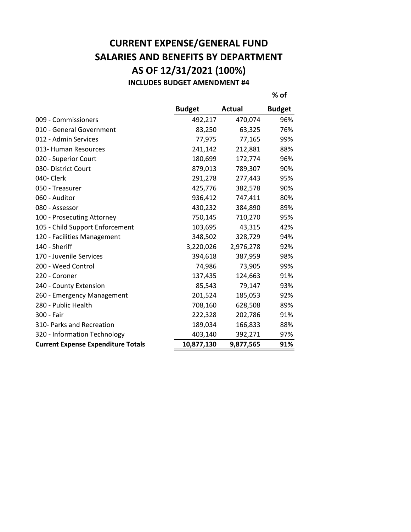### **CURRENT EXPENSE/GENERAL FUND SALARIES AND BENEFITS BY DEPARTMENT AS OF 12/31/2021 (100%) INCLUDES BUDGET AMENDMENT #4**

**% of**

|                                           | <b>Budget</b> | <b>Actual</b> | <b>Budget</b> |
|-------------------------------------------|---------------|---------------|---------------|
| 009 - Commissioners                       | 492,217       | 470,074       | 96%           |
| 010 - General Government                  | 83,250        | 63,325        | 76%           |
| 012 - Admin Services                      | 77,975        | 77,165        | 99%           |
| 013- Human Resources                      | 241,142       | 212,881       | 88%           |
| 020 - Superior Court                      | 180,699       | 172,774       | 96%           |
| 030- District Court                       | 879,013       | 789,307       | 90%           |
| 040- Clerk                                | 291,278       | 277,443       | 95%           |
| 050 - Treasurer                           | 425,776       | 382,578       | 90%           |
| 060 - Auditor                             | 936,412       | 747,411       | 80%           |
| 080 - Assessor                            | 430,232       | 384,890       | 89%           |
| 100 - Prosecuting Attorney                | 750,145       | 710,270       | 95%           |
| 105 - Child Support Enforcement           | 103,695       | 43,315        | 42%           |
| 120 - Facilities Management               | 348,502       | 328,729       | 94%           |
| 140 - Sheriff                             | 3,220,026     | 2,976,278     | 92%           |
| 170 - Juvenile Services                   | 394,618       | 387,959       | 98%           |
| 200 - Weed Control                        | 74,986        | 73,905        | 99%           |
| 220 - Coroner                             | 137,435       | 124,663       | 91%           |
| 240 - County Extension                    | 85,543        | 79,147        | 93%           |
| 260 - Emergency Management                | 201,524       | 185,053       | 92%           |
| 280 - Public Health                       | 708,160       | 628,508       | 89%           |
| 300 - Fair                                | 222,328       | 202,786       | 91%           |
| 310- Parks and Recreation                 | 189,034       | 166,833       | 88%           |
| 320 - Information Technology              | 403,140       | 392,271       | 97%           |
| <b>Current Expense Expenditure Totals</b> | 10,877,130    | 9,877,565     | 91%           |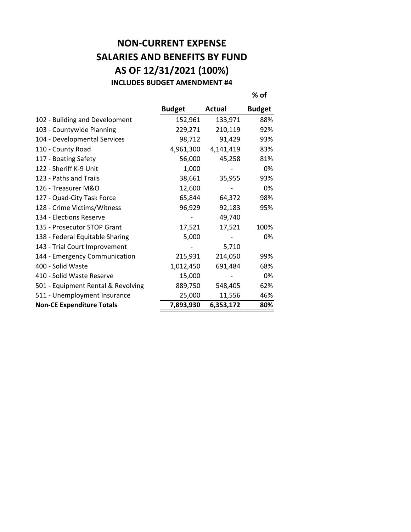#### **NON-CURRENT EXPENSE SALARIES AND BENEFITS BY FUND AS OF 12/31/2021 (100%) INCLUDES BUDGET AMENDMENT #4**

|                                    | <b>Budget</b> | Actual    | <b>Budget</b> |
|------------------------------------|---------------|-----------|---------------|
| 102 - Building and Development     | 152,961       | 133,971   | 88%           |
| 103 - Countywide Planning          | 229,271       | 210,119   | 92%           |
| 104 - Developmental Services       | 98,712        | 91,429    | 93%           |
| 110 - County Road                  | 4,961,300     | 4,141,419 | 83%           |
| 117 - Boating Safety               | 56,000        | 45,258    | 81%           |
| 122 - Sheriff K-9 Unit             | 1,000         |           | 0%            |
| 123 - Paths and Trails             | 38,661        | 35,955    | 93%           |
| 126 - Treasurer M&O                | 12,600        |           | 0%            |
| 127 - Quad-City Task Force         | 65,844        | 64,372    | 98%           |
| 128 - Crime Victims/Witness        | 96,929        | 92,183    | 95%           |
| 134 - Elections Reserve            |               | 49,740    |               |
| 135 - Prosecutor STOP Grant        | 17,521        | 17,521    | 100%          |
| 138 - Federal Equitable Sharing    | 5,000         |           | 0%            |
| 143 - Trial Court Improvement      |               | 5,710     |               |
| 144 - Emergency Communication      | 215,931       | 214,050   | 99%           |
| 400 - Solid Waste                  | 1,012,450     | 691,484   | 68%           |
| 410 - Solid Waste Reserve          | 15,000        |           | 0%            |
| 501 - Equipment Rental & Revolving | 889,750       | 548,405   | 62%           |
| 511 - Unemployment Insurance       | 25,000        | 11,556    | 46%           |
| <b>Non-CE Expenditure Totals</b>   | 7,893,930     | 6,353,172 | 80%           |